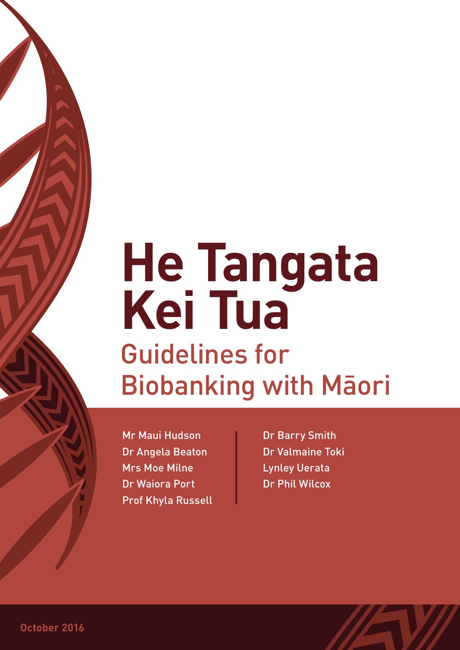# **He Tangata Kei Tua** Guidelines for Biobanking with Māori

Mr Maui Hudson Dr Angela Beaton Mrs Moe Milne Dr Waiora Port Prof Khyla Russell

Dr Barry Smith Dr Valmaine Toki Lynley Uerata Dr Phil Wilcox



**October 2016**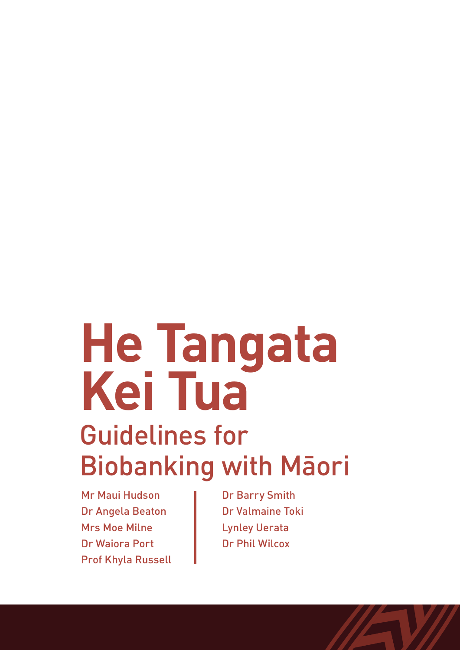# **He Tangata Kei Tua** Guidelines for Biobanking with Māori

Mr Maui Hudson Dr Angela Beaton Mrs Moe Milne Dr Waiora Port Prof Khyla Russell Dr Barry Smith Dr Valmaine Toki Lynley Uerata Dr Phil Wilcox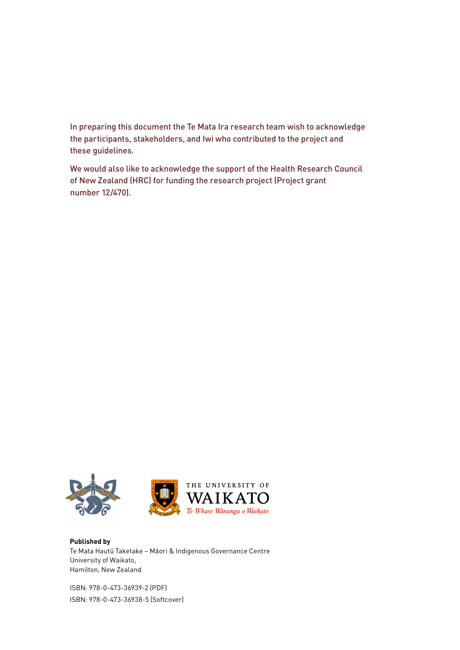In preparing this document the Te Mata Ira research team wish to acknowledge the participants, stakeholders, and Iwi who contributed to the project and these guidelines.

We would also like to acknowledge the support of the Health Research Council of New Zealand (HRC) for funding the research project (Project grant number 12/470).



**Published by** Te Mata Hautū Taketake – Māori & Indigenous Governance Centre University of Waikato, Hamilton, New Zealand

ISBN: 978-0-473-36939-2 (PDF) ISBN: 978-0-473-36938-5 (Softcover)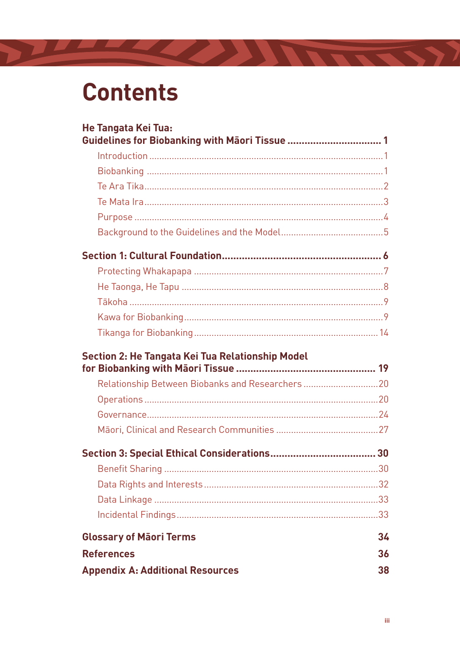# **Contents**

| He Tangata Kei Tua:<br>Guidelines for Biobanking with Maori Tissue  1 |    |
|-----------------------------------------------------------------------|----|
|                                                                       |    |
|                                                                       |    |
|                                                                       |    |
|                                                                       |    |
|                                                                       |    |
|                                                                       |    |
|                                                                       |    |
|                                                                       |    |
|                                                                       |    |
|                                                                       |    |
|                                                                       |    |
|                                                                       |    |
| Section 2: He Tangata Kei Tua Relationship Model                      |    |
| Relationship Between Biobanks and Researchers20                       |    |
|                                                                       |    |
|                                                                       |    |
|                                                                       |    |
|                                                                       |    |
|                                                                       |    |
|                                                                       |    |
|                                                                       |    |
|                                                                       |    |
| <b>Glossary of Maori Terms</b>                                        | 34 |
| <b>References</b>                                                     | 36 |
| <b>Appendix A: Additional Resources</b>                               | 38 |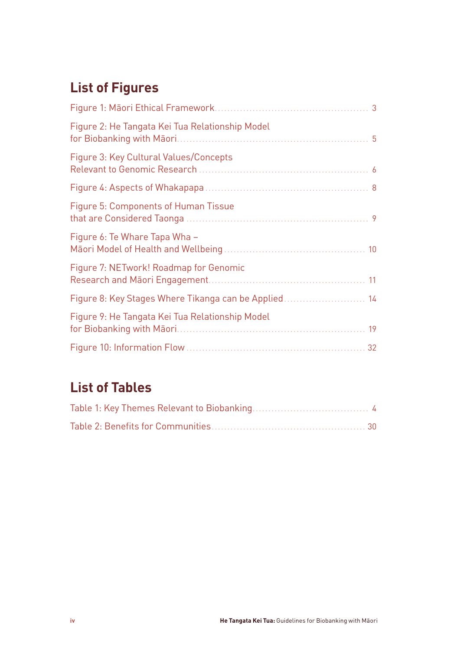# **List of Figures**

| Figure 2: He Tangata Kei Tua Relationship Model      |
|------------------------------------------------------|
| Figure 3: Key Cultural Values/Concepts               |
|                                                      |
| Figure 5: Components of Human Tissue                 |
| Figure 6: Te Whare Tapa Wha -                        |
| Figure 7: NETwork! Roadmap for Genomic               |
| Figure 8: Key Stages Where Tikanga can be Applied 14 |
| Figure 9: He Tangata Kei Tua Relationship Model      |
|                                                      |

# **List of Tables**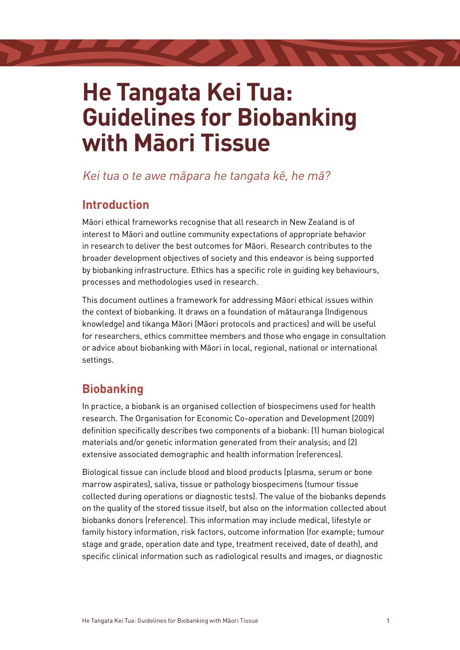# <span id="page-6-0"></span>**He Tangata Kei Tua: Guidelines for Biobanking with Māori Tissue**

### Kei tua o te awe māpara he tangata kē, he mā?

### **Introduction**

Māori ethical frameworks recognise that all research in New Zealand is of interest to Māori and outline community expectations of appropriate behavior in research to deliver the best outcomes for Māori. Research contributes to the broader development objectives of society and this endeavor is being supported by biobanking infrastructure. Ethics has a specific role in guiding key behaviours, processes and methodologies used in research.

This document outlines a framework for addressing Māori ethical issues within the context of biobanking. It draws on a foundation of mātauranga (Indigenous knowledge) and tikanga Māori (Māori protocols and practices) and will be useful for researchers, ethics committee members and those who engage in consultation or advice about biobanking with Māori in local, regional, national or international settings.

# **Biobanking**

In practice, a biobank is an organised collection of biospecimens used for health research. The Organisation for Economic Co-operation and Development (2009) definition specifically describes two components of a biobank: (1) human biological materials and/or genetic information generated from their analysis; and (2) extensive associated demographic and health information (references).

Biological tissue can include blood and blood products (plasma, serum or bone marrow aspirates), saliva, tissue or pathology biospecimens (tumour tissue collected during operations or diagnostic tests). The value of the biobanks depends on the quality of the stored tissue itself, but also on the information collected about biobanks donors (reference). This information may include medical, lifestyle or family history information, risk factors, outcome information (for example; tumour stage and grade, operation date and type, treatment received, date of death), and specific clinical information such as radiological results and images, or diagnostic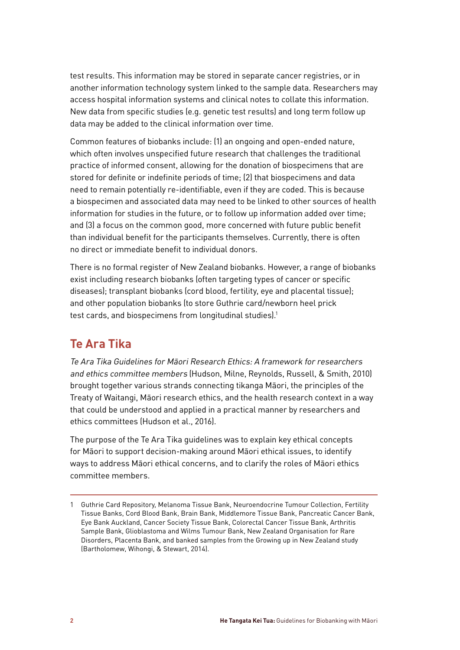<span id="page-7-0"></span>test results. This information may be stored in separate cancer registries, or in another information technology system linked to the sample data. Researchers may access hospital information systems and clinical notes to collate this information. New data from specific studies (e.g. genetic test results) and long term follow up data may be added to the clinical information over time.

Common features of biobanks include: (1) an ongoing and open-ended nature, which often involves unspecified future research that challenges the traditional practice of informed consent, allowing for the donation of biospecimens that are stored for definite or indefinite periods of time; (2) that biospecimens and data need to remain potentially re-identifiable, even if they are coded. This is because a biospecimen and associated data may need to be linked to other sources of health information for studies in the future, or to follow up information added over time; and (3) a focus on the common good, more concerned with future public benefit than individual benefit for the participants themselves. Currently, there is often no direct or immediate benefit to individual donors.

There is no formal register of New Zealand biobanks. However, a range of biobanks exist including research biobanks (often targeting types of cancer or specific diseases); transplant biobanks (cord blood, fertility, eye and placental tissue); and other population biobanks (to store Guthrie card/newborn heel prick test cards, and biospecimens from longitudinal studies).<sup>1</sup>

# **Te Ara Tika**

Te Ara Tika Guidelines for Māori Research Ethics: A framework for researchers and ethics committee members (Hudson, Milne, Reynolds, Russell, & Smith, 2010) brought together various strands connecting tikanga Māori, the principles of the Treaty of Waitangi, Māori research ethics, and the health research context in a way that could be understood and applied in a practical manner by researchers and ethics committees (Hudson et al., 2016).

The purpose of the Te Ara Tika guidelines was to explain key ethical concepts for Māori to support decision-making around Māori ethical issues, to identify ways to address Māori ethical concerns, and to clarify the roles of Māori ethics committee members.

<sup>1</sup> Guthrie Card Repository, Melanoma Tissue Bank, Neuroendocrine Tumour Collection, Fertility Tissue Banks, Cord Blood Bank, Brain Bank, Middlemore Tissue Bank, Pancreatic Cancer Bank, Eye Bank Auckland, Cancer Society Tissue Bank, Colorectal Cancer Tissue Bank, Arthritis Sample Bank, Glioblastoma and Wilms Tumour Bank, New Zealand Organisation for Rare Disorders, Placenta Bank, and banked samples from the Growing up in New Zealand study (Bartholomew, Wihongi, & Stewart, 2014).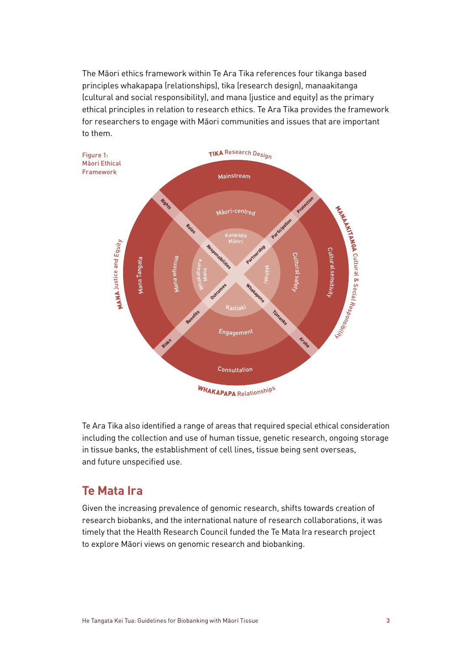<span id="page-8-0"></span>The Māori ethics framework within Te Ara Tika references four tikanga based principles whakapapa (relationships), tika (research design), manaakitanga (cultural and social responsibility), and mana (justice and equity) as the primary ethical principles in relation to research ethics. Te Ara Tika provides the framework for researchers to engage with Māori communities and issues that are important to them.

<span id="page-8-1"></span>

Te Ara Tika also identified a range of areas that required special ethical consideration including the collection and use of human tissue, genetic research, ongoing storage in tissue banks, the establishment of cell lines, tissue being sent overseas, and future unspecified use.

# **Te Mata Ira**

Given the increasing prevalence of genomic research, shifts towards creation of research biobanks, and the international nature of research collaborations, it was timely that the Health Research Council funded the Te Mata Ira research project to explore Māori views on genomic research and biobanking.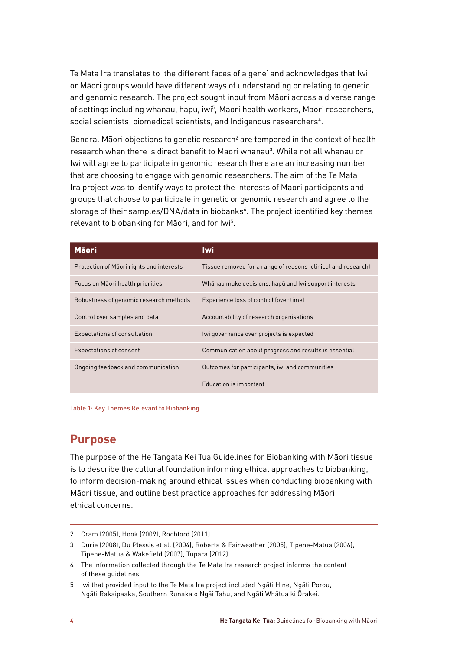<span id="page-9-0"></span>Te Mata Ira translates to 'the different faces of a gene' and acknowledges that Iwi or Māori groups would have different ways of understanding or relating to genetic and genomic research. The project sought input from Māori across a diverse range of settings including whānau, hapū, iwi<sup>5</sup>, Māori health workers, Māori researchers, social scientists, biomedical scientists, and Indigenous researchers<sup>4</sup>.

General Māori objections to genetic research<sup>2</sup> are tempered in the context of health research when there is direct benefit to Māori whānau<sup>3</sup>. While not all whānau or Iwi will agree to participate in genomic research there are an increasing number that are choosing to engage with genomic researchers. The aim of the Te Mata Ira project was to identify ways to protect the interests of Māori participants and groups that choose to participate in genetic or genomic research and agree to the storage of their samples/DNA/data in biobanks<sup>4</sup>. The project identified key themes relevant to biobanking for Māori, and for Iwi<sup>5</sup>.

| Māori                                    | <b>Iwi</b>                                                    |
|------------------------------------------|---------------------------------------------------------------|
| Protection of Maori rights and interests | Tissue removed for a range of reasons (clinical and research) |
| Focus on Māori health priorities         | Whānau make decisions, hapū and Iwi support interests         |
| Robustness of genomic research methods   | Experience loss of control (over time)                        |
| Control over samples and data            | Accountability of research organisations                      |
| <b>Expectations of consultation</b>      | Iwi governance over projects is expected                      |
| <b>Expectations of consent</b>           | Communication about progress and results is essential         |
| Ongoing feedback and communication       | Outcomes for participants, iwi and communities                |
|                                          | Education is important                                        |

<span id="page-9-1"></span>Table 1: Key Themes Relevant to Biobanking

### **Purpose**

The purpose of the He Tangata Kei Tua Guidelines for Biobanking with Māori tissue is to describe the cultural foundation informing ethical approaches to biobanking, to inform decision-making around ethical issues when conducting biobanking with Māori tissue, and outline best practice approaches for addressing Māori ethical concerns.

<sup>2</sup> Cram (2005), Hook (2009), Rochford (2011).

<sup>3</sup> Durie (2008), Du Plessis et al. (2004), Roberts & Fairweather (2005), Tipene-Matua (2006), Tipene-Matua & Wakefield (2007), Tupara (2012).

<sup>4</sup> The information collected through the Te Mata Ira research project informs the content of these guidelines.

<sup>5</sup> Iwi that provided input to the Te Mata Ira project included Ngāti Hine, Ngāti Porou, Ngāti Rakaipaaka, Southern Runaka o Ngāi Tahu, and Ngāti Whātua ki Ōrakei.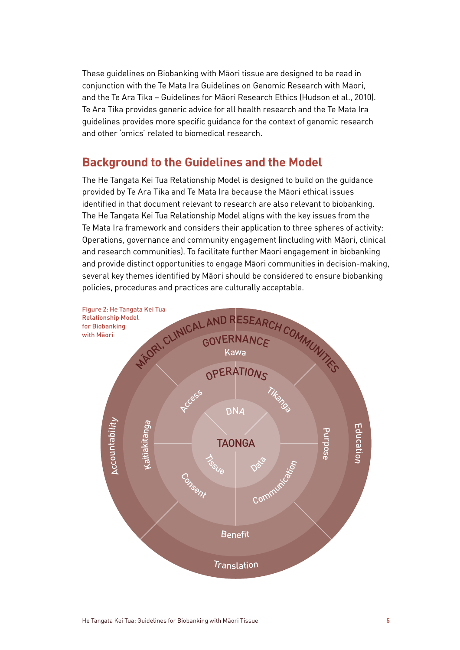<span id="page-10-0"></span>These guidelines on Biobanking with Māori tissue are designed to be read in conjunction with the Te Mata Ira Guidelines on Genomic Research with Māori, and the Te Ara Tika – Guidelines for Māori Research Ethics (Hudson et al., 2010). Te Ara Tika provides generic advice for all health research and the Te Mata Ira guidelines provides more specific guidance for the context of genomic research and other 'omics' related to biomedical research.

### **Background to the Guidelines and the Model**

The He Tangata Kei Tua Relationship Model is designed to build on the guidance provided by Te Ara Tika and Te Mata Ira because the Māori ethical issues identified in that document relevant to research are also relevant to biobanking. The He Tangata Kei Tua Relationship Model aligns with the key issues from the Te Mata Ira framework and considers their application to three spheres of activity: Operations, governance and community engagement (including with Māori, clinical and research communities). To facilitate further Māori engagement in biobanking and provide distinct opportunities to engage Māori communities in decision-making, several key themes identified by Māori should be considered to ensure biobanking policies, procedures and practices are culturally acceptable.

<span id="page-10-1"></span>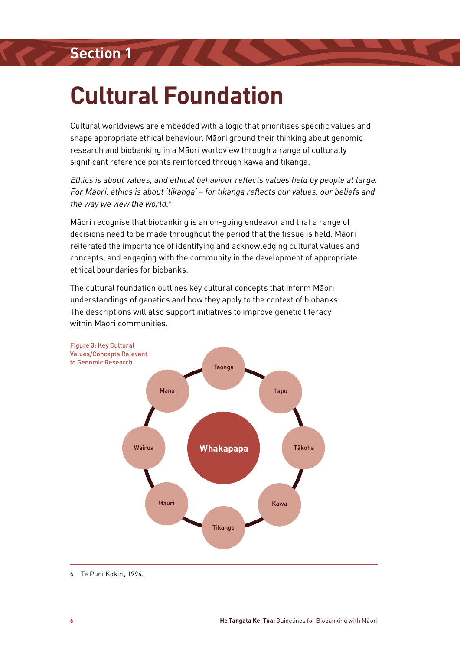# <span id="page-11-0"></span>**Section 1**

# **Cultural Foundation**

Cultural worldviews are embedded with a logic that prioritises specific values and shape appropriate ethical behaviour. Māori ground their thinking about genomic research and biobanking in a Māori worldview through a range of culturally significant reference points reinforced through kawa and tikanga.

Ethics is about values, and ethical behaviour reflects values held by people at large. For Māori, ethics is about 'tikanga' – for tikanga reflects our values, our beliefs and the way we view the world. $6$ 

Māori recognise that biobanking is an on-going endeavor and that a range of decisions need to be made throughout the period that the tissue is held. Māori reiterated the importance of identifying and acknowledging cultural values and concepts, and engaging with the community in the development of appropriate ethical boundaries for biobanks.

The cultural foundation outlines key cultural concepts that inform Māori understandings of genetics and how they apply to the context of biobanks. The descriptions will also support initiatives to improve genetic literacy within Māori communities.



6 Te Puni Kokiri, 1994.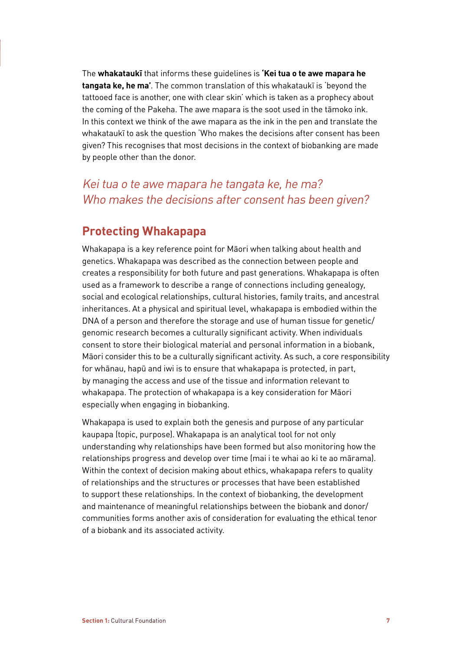<span id="page-12-0"></span>The **whakataukī** that informs these guidelines is **'Kei tua o te awe mapara he tangata ke, he ma'**. The common translation of this whakataukī is 'beyond the tattooed face is another, one with clear skin' which is taken as a prophecy about the coming of the Pakeha. The awe mapara is the soot used in the tāmoko ink. In this context we think of the awe mapara as the ink in the pen and translate the whakataukī to ask the question 'Who makes the decisions after consent has been given? This recognises that most decisions in the context of biobanking are made by people other than the donor.

## Kei tua o te awe mapara he tangata ke, he ma? Who makes the decisions after consent has been given?

### **Protecting Whakapapa**

Whakapapa is a key reference point for Māori when talking about health and genetics. Whakapapa was described as the connection between people and creates a responsibility for both future and past generations. Whakapapa is often used as a framework to describe a range of connections including genealogy, social and ecological relationships, cultural histories, family traits, and ancestral inheritances. At a physical and spiritual level, whakapapa is embodied within the DNA of a person and therefore the storage and use of human tissue for genetic/ genomic research becomes a culturally significant activity. When individuals consent to store their biological material and personal information in a biobank, Māori consider this to be a culturally significant activity. As such, a core responsibility for whānau, hapū and iwi is to ensure that whakapapa is protected, in part, by managing the access and use of the tissue and information relevant to whakapapa. The protection of whakapapa is a key consideration for Māori especially when engaging in biobanking.

Whakapapa is used to explain both the genesis and purpose of any particular kaupapa (topic, purpose). Whakapapa is an analytical tool for not only understanding why relationships have been formed but also monitoring how the relationships progress and develop over time (mai i te whai ao ki te ao mārama). Within the context of decision making about ethics, whakapapa refers to quality of relationships and the structures or processes that have been established to support these relationships. In the context of biobanking, the development and maintenance of meaningful relationships between the biobank and donor/ communities forms another axis of consideration for evaluating the ethical tenor of a biobank and its associated activity.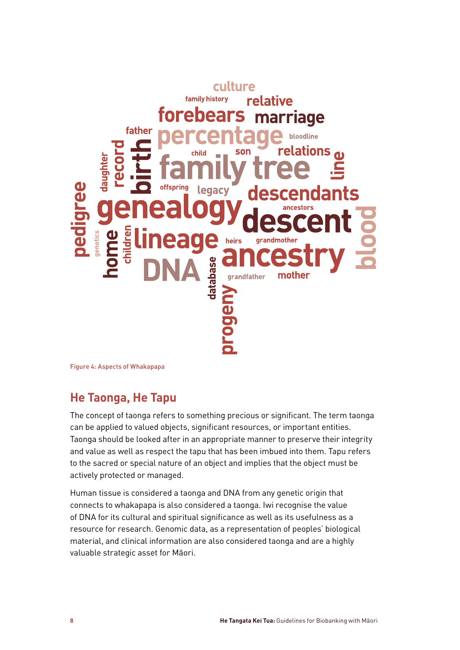<span id="page-13-0"></span>

<span id="page-13-1"></span>Figure 4: Aspects of Whakapapa

### **He Taonga, He Tapu**

The concept of taonga refers to something precious or significant. The term taonga can be applied to valued objects, significant resources, or important entities. Taonga should be looked after in an appropriate manner to preserve their integrity and value as well as respect the tapu that has been imbued into them. Tapu refers to the sacred or special nature of an object and implies that the object must be actively protected or managed.

Human tissue is considered a taonga and DNA from any genetic origin that connects to whakapapa is also considered a taonga. Iwi recognise the value of DNA for its cultural and spiritual significance as well as its usefulness as a resource for research. Genomic data, as a representation of peoples' biological material, and clinical information are also considered taonga and are a highly valuable strategic asset for Māori.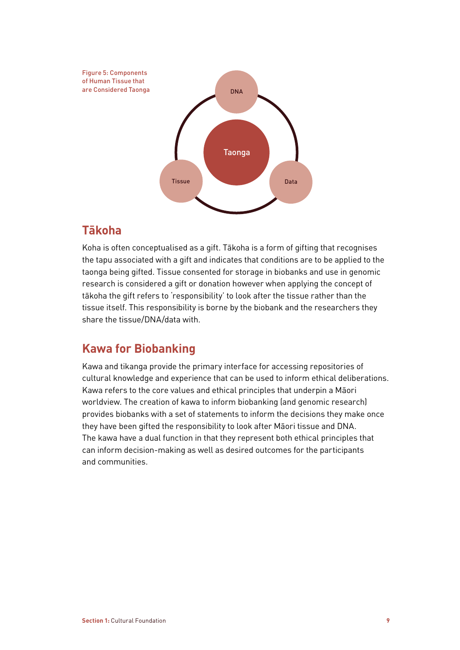<span id="page-14-1"></span><span id="page-14-0"></span>

### **Tākoha**

Koha is often conceptualised as a gift. Tākoha is a form of gifting that recognises the tapu associated with a gift and indicates that conditions are to be applied to the taonga being gifted. Tissue consented for storage in biobanks and use in genomic research is considered a gift or donation however when applying the concept of tākoha the gift refers to 'responsibility' to look after the tissue rather than the tissue itself. This responsibility is borne by the biobank and the researchers they share the tissue/DNA/data with.

# **Kawa for Biobanking**

Kawa and tikanga provide the primary interface for accessing repositories of cultural knowledge and experience that can be used to inform ethical deliberations. Kawa refers to the core values and ethical principles that underpin a Māori worldview. The creation of kawa to inform biobanking (and genomic research) provides biobanks with a set of statements to inform the decisions they make once they have been gifted the responsibility to look after Māori tissue and DNA. The kawa have a dual function in that they represent both ethical principles that can inform decision-making as well as desired outcomes for the participants and communities.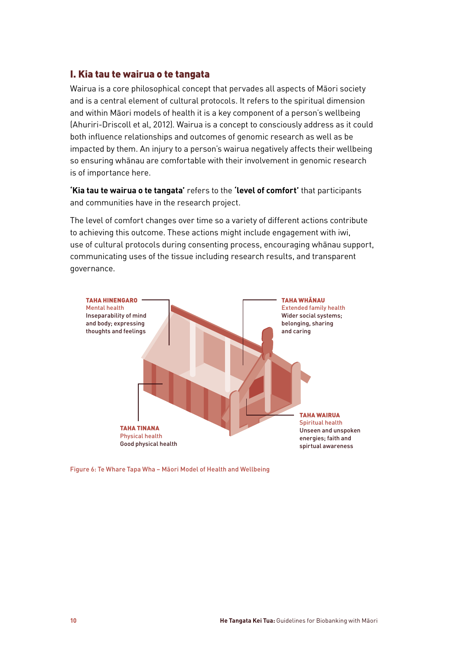### I. Kia tau te wairua o te tangata

Wairua is a core philosophical concept that pervades all aspects of Māori society and is a central element of cultural protocols. It refers to the spiritual dimension and within Māori models of health it is a key component of a person's wellbeing (Ahuriri-Driscoll et al, 2012). Wairua is a concept to consciously address as it could both influence relationships and outcomes of genomic research as well as be impacted by them. An injury to a person's wairua negatively affects their wellbeing so ensuring whānau are comfortable with their involvement in genomic research is of importance here.

**'Kia tau te wairua o te tangata'** refers to the **'level of comfort'** that participants and communities have in the research project.

The level of comfort changes over time so a variety of different actions contribute to achieving this outcome. These actions might include engagement with iwi, use of cultural protocols during consenting process, encouraging whānau support, communicating uses of the tissue including research results, and transparent governance.



<span id="page-15-0"></span>Figure 6: Te Whare Tapa Wha – Māori Model of Health and Wellbeing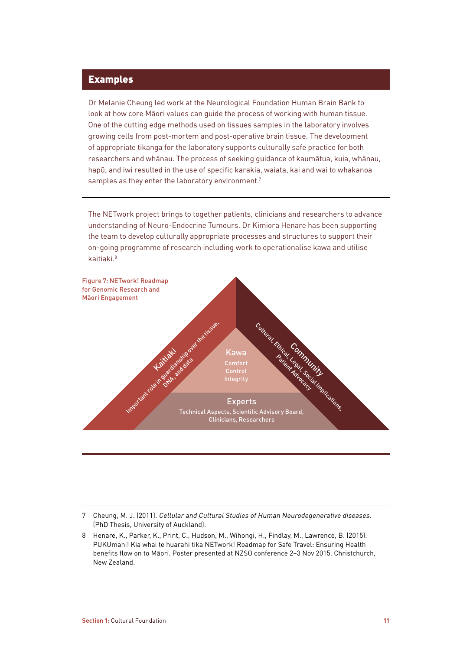#### Examples

Dr Melanie Cheung led work at the Neurological Foundation Human Brain Bank to look at how core Māori values can guide the process of working with human tissue. One of the cutting edge methods used on tissues samples in the laboratory involves growing cells from post-mortem and post-operative brain tissue. The development of appropriate tikanga for the laboratory supports culturally safe practice for both researchers and whānau. The process of seeking guidance of kaumātua, kuia, whānau, hapū, and iwi resulted in the use of specific karakia, waiata, kai and wai to whakanoa samples as they enter the laboratory environment.<sup>7</sup>

The NETwork project brings to together patients, clinicians and researchers to advance understanding of Neuro-Endocrine Tumours. Dr Kimiora Henare has been supporting the team to develop culturally appropriate processes and structures to support their on-going programme of research including work to operationalise kawa and utilise kaitiaki.8

<span id="page-16-0"></span>

<sup>7</sup> Cheung, M. J. (2011). Cellular and Cultural Studies of Human Neurodegenerative diseases. (PhD Thesis, University of Auckland).

<sup>8</sup> Henare, K., Parker, K., Print, C., Hudson, M., Wihongi, H., Findlay, M., Lawrence, B. (2015). PUKUmahi! Kia whai te huarahi tika NETwork! Roadmap for Safe Travel: Ensuring Health benefits flow on to Māori. Poster presented at NZSO conference 2–3 Nov 2015. Christchurch, New Zealand.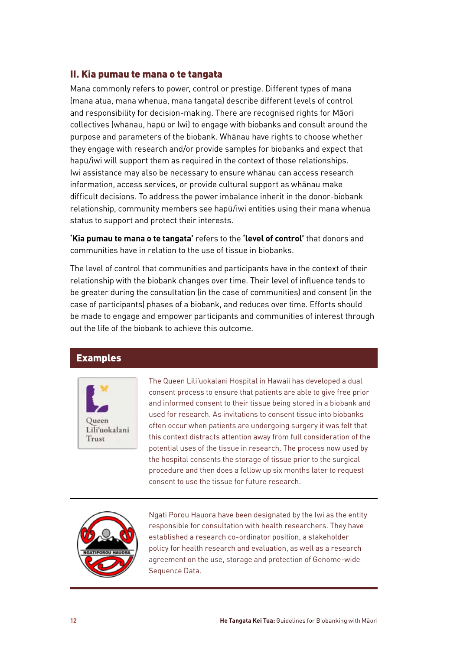### II. Kia pumau te mana o te tangata

Mana commonly refers to power, control or prestige. Different types of mana (mana atua, mana whenua, mana tangata) describe different levels of control and responsibility for decision-making. There are recognised rights for Māori collectives (whānau, hapū or Iwi) to engage with biobanks and consult around the purpose and parameters of the biobank. Whānau have rights to choose whether they engage with research and/or provide samples for biobanks and expect that hapū/iwi will support them as required in the context of those relationships. Iwi assistance may also be necessary to ensure whānau can access research information, access services, or provide cultural support as whānau make difficult decisions. To address the power imbalance inherit in the donor-biobank relationship, community members see hapū/iwi entities using their mana whenua status to support and protect their interests.

**'Kia pumau te mana o te tangata'** refers to the **'level of control'** that donors and communities have in relation to the use of tissue in biobanks.

The level of control that communities and participants have in the context of their relationship with the biobank changes over time. Their level of influence tends to be greater during the consultation (in the case of communities) and consent (in the case of participants) phases of a biobank, and reduces over time. Efforts should be made to engage and empower participants and communities of interest through out the life of the biobank to achieve this outcome.

### Examples



The Queen Lili'uokalani Hospital in Hawaii has developed a dual consent process to ensure that patients are able to give free prior and informed consent to their tissue being stored in a biobank and used for research. As invitations to consent tissue into biobanks often occur when patients are undergoing surgery it was felt that this context distracts attention away from full consideration of the potential uses of the tissue in research. The process now used by the hospital consents the storage of tissue prior to the surgical procedure and then does a follow up six months later to request consent to use the tissue for future research.



Ngati Porou Hauora have been designated by the Iwi as the entity responsible for consultation with health researchers. They have established a research co-ordinator position, a stakeholder policy for health research and evaluation, as well as a research agreement on the use, storage and protection of Genome-wide Sequence Data.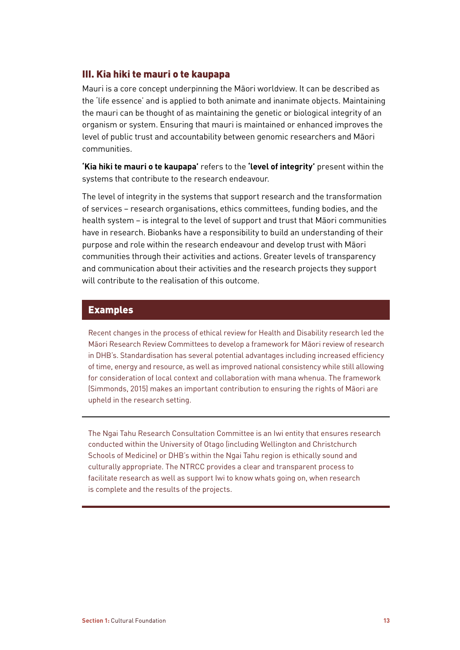### III. Kia hiki te mauri o te kaupapa

Mauri is a core concept underpinning the Māori worldview. It can be described as the 'life essence' and is applied to both animate and inanimate objects. Maintaining the mauri can be thought of as maintaining the genetic or biological integrity of an organism or system. Ensuring that mauri is maintained or enhanced improves the level of public trust and accountability between genomic researchers and Māori communities.

**'Kia hiki te mauri o te kaupapa'** refers to the **'level of integrity'** present within the systems that contribute to the research endeavour.

The level of integrity in the systems that support research and the transformation of services – research organisations, ethics committees, funding bodies, and the health system – is integral to the level of support and trust that Māori communities have in research. Biobanks have a responsibility to build an understanding of their purpose and role within the research endeavour and develop trust with Māori communities through their activities and actions. Greater levels of transparency and communication about their activities and the research projects they support will contribute to the realisation of this outcome.

#### Examples

Recent changes in the process of ethical review for Health and Disability research led the Māori Research Review Committees to develop a framework for Māori review of research in DHB's. Standardisation has several potential advantages including increased efficiency of time, energy and resource, as well as improved national consistency while still allowing for consideration of local context and collaboration with mana whenua. The framework (Simmonds, 2015) makes an important contribution to ensuring the rights of Māori are upheld in the research setting.

The Ngai Tahu Research Consultation Committee is an Iwi entity that ensures research conducted within the University of Otago (including Wellington and Christchurch Schools of Medicine) or DHB's within the Ngai Tahu region is ethically sound and culturally appropriate. The NTRCC provides a clear and transparent process to facilitate research as well as support Iwi to know whats going on, when research is complete and the results of the projects.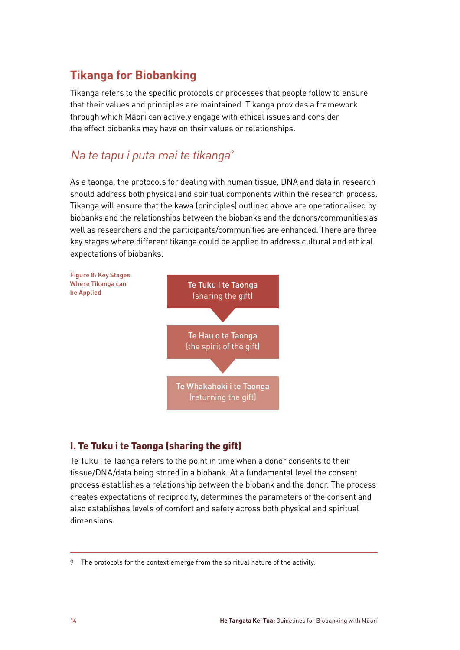# <span id="page-19-0"></span>**Tikanga for Biobanking**

Tikanga refers to the specific protocols or processes that people follow to ensure that their values and principles are maintained. Tikanga provides a framework through which Māori can actively engage with ethical issues and consider the effect biobanks may have on their values or relationships.

# Na te tapu i puta mai te tikanga $^{\circ}$

As a taonga, the protocols for dealing with human tissue, DNA and data in research should address both physical and spiritual components within the research process. Tikanga will ensure that the kawa (principles) outlined above are operationalised by biobanks and the relationships between the biobanks and the donors/communities as well as researchers and the participants/communities are enhanced. There are three key stages where different tikanga could be applied to address cultural and ethical expectations of biobanks.

<span id="page-19-1"></span>

### I. Te Tuku i te Taonga (sharing the gift)

Te Tuku i te Taonga refers to the point in time when a donor consents to their tissue/DNA/data being stored in a biobank. At a fundamental level the consent process establishes a relationship between the biobank and the donor. The process creates expectations of reciprocity, determines the parameters of the consent and also establishes levels of comfort and safety across both physical and spiritual dimensions.

<sup>9</sup> The protocols for the context emerge from the spiritual nature of the activity.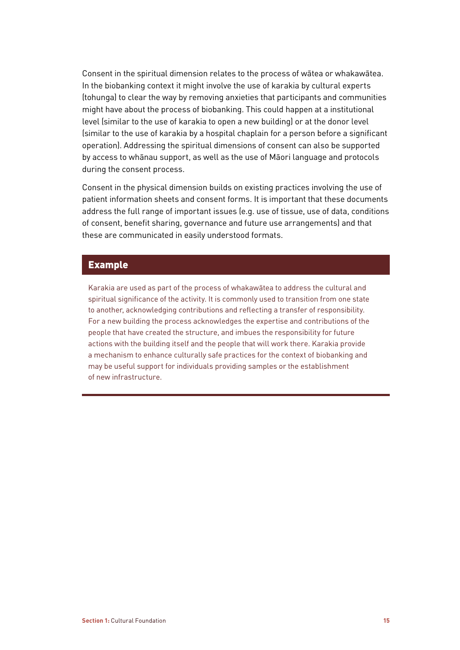Consent in the spiritual dimension relates to the process of wātea or whakawātea. In the biobanking context it might involve the use of karakia by cultural experts (tohunga) to clear the way by removing anxieties that participants and communities might have about the process of biobanking. This could happen at a institutional level (similar to the use of karakia to open a new building) or at the donor level (similar to the use of karakia by a hospital chaplain for a person before a significant operation). Addressing the spiritual dimensions of consent can also be supported by access to whānau support, as well as the use of Māori language and protocols during the consent process.

Consent in the physical dimension builds on existing practices involving the use of patient information sheets and consent forms. It is important that these documents address the full range of important issues (e.g. use of tissue, use of data, conditions of consent, benefit sharing, governance and future use arrangements) and that these are communicated in easily understood formats.

### Example

Karakia are used as part of the process of whakawātea to address the cultural and spiritual significance of the activity. It is commonly used to transition from one state to another, acknowledging contributions and reflecting a transfer of responsibility. For a new building the process acknowledges the expertise and contributions of the people that have created the structure, and imbues the responsibility for future actions with the building itself and the people that will work there. Karakia provide a mechanism to enhance culturally safe practices for the context of biobanking and may be useful support for individuals providing samples or the establishment of new infrastructure.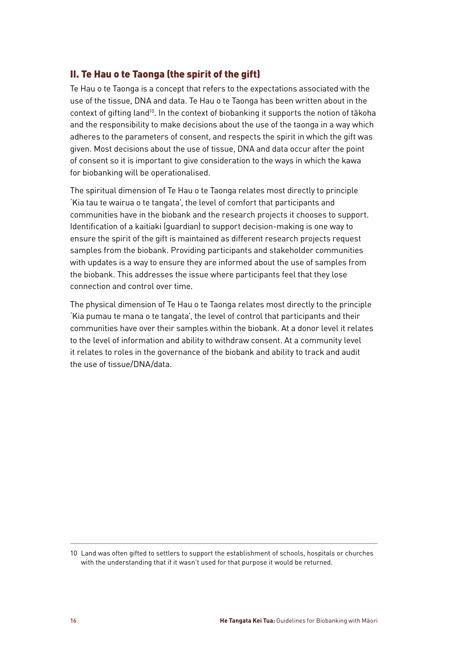### II. Te Hau o te Taonga (the spirit of the gift)

Te Hau o te Taonga is a concept that refers to the expectations associated with the use of the tissue, DNA and data. Te Hau o te Taonga has been written about in the context of gifting land10. In the context of biobanking it supports the notion of tākoha and the responsibility to make decisions about the use of the taonga in a way which adheres to the parameters of consent, and respects the spirit in which the gift was given. Most decisions about the use of tissue, DNA and data occur after the point of consent so it is important to give consideration to the ways in which the kawa for biobanking will be operationalised.

The spiritual dimension of Te Hau o te Taonga relates most directly to principle 'Kia tau te wairua o te tangata', the level of comfort that participants and communities have in the biobank and the research projects it chooses to support. Identification of a kaitiaki (guardian) to support decision-making is one way to ensure the spirit of the gift is maintained as different research projects request samples from the biobank. Providing participants and stakeholder communities with updates is a way to ensure they are informed about the use of samples from the biobank. This addresses the issue where participants feel that they lose connection and control over time.

The physical dimension of Te Hau o te Taonga relates most directly to the principle 'Kia pumau te mana o te tangata', the level of control that participants and their communities have over their samples within the biobank. At a donor level it relates to the level of information and ability to withdraw consent. At a community level it relates to roles in the governance of the biobank and ability to track and audit the use of tissue/DNA/data.

10 Land was often gifted to settlers to support the establishment of schools, hospitals or churches with the understanding that if it wasn't used for that purpose it would be returned.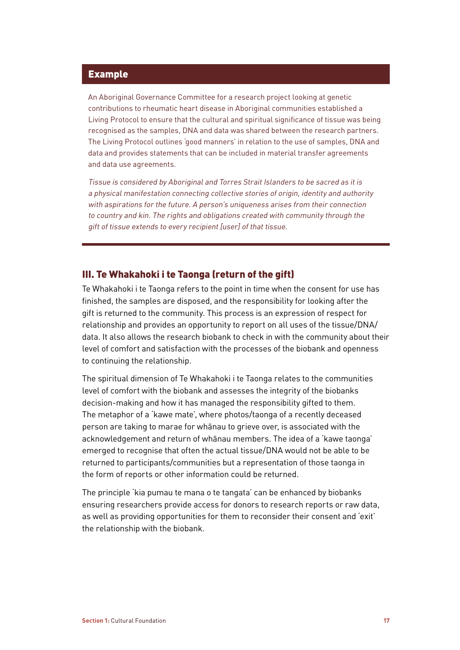#### Example

An Aboriginal Governance Committee for a research project looking at genetic contributions to rheumatic heart disease in Aboriginal communities established a Living Protocol to ensure that the cultural and spiritual significance of tissue was being recognised as the samples, DNA and data was shared between the research partners. The Living Protocol outlines 'good manners' in relation to the use of samples, DNA and data and provides statements that can be included in material transfer agreements and data use agreements.

Tissue is considered by Aboriginal and Torres Strait Islanders to be sacred as it is a physical manifestation connecting collective stories of origin, identity and authority with aspirations for the future. A person's uniqueness arises from their connection to country and kin. The rights and obligations created with community through the gift of tissue extends to every recipient [user] of that tissue.

### III. Te Whakahoki i te Taonga (return of the gift)

Te Whakahoki i te Taonga refers to the point in time when the consent for use has finished, the samples are disposed, and the responsibility for looking after the gift is returned to the community. This process is an expression of respect for relationship and provides an opportunity to report on all uses of the tissue/DNA/ data. It also allows the research biobank to check in with the community about their level of comfort and satisfaction with the processes of the biobank and openness to continuing the relationship.

The spiritual dimension of Te Whakahoki i te Taonga relates to the communities level of comfort with the biobank and assesses the integrity of the biobanks decision-making and how it has managed the responsibility gifted to them. The metaphor of a 'kawe mate', where photos/taonga of a recently deceased person are taking to marae for whānau to grieve over, is associated with the acknowledgement and return of whānau members. The idea of a 'kawe taonga' emerged to recognise that often the actual tissue/DNA would not be able to be returned to participants/communities but a representation of those taonga in the form of reports or other information could be returned.

The principle 'kia pumau te mana o te tangata' can be enhanced by biobanks ensuring researchers provide access for donors to research reports or raw data, as well as providing opportunities for them to reconsider their consent and 'exit' the relationship with the biobank.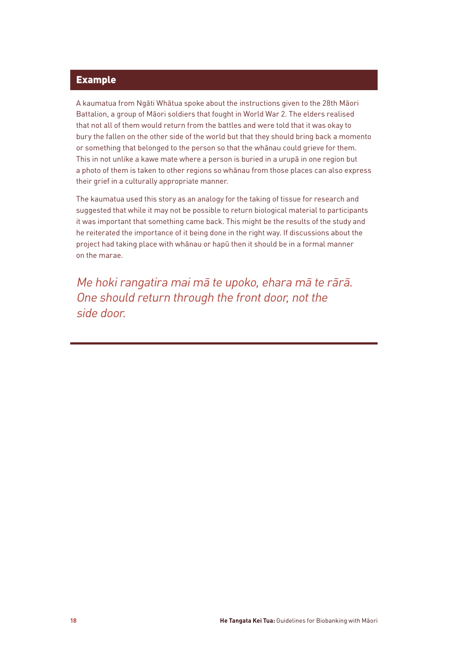### Example

A kaumatua from Ngāti Whātua spoke about the instructions given to the 28th Māori Battalion, a group of Māori soldiers that fought in World War 2. The elders realised that not all of them would return from the battles and were told that it was okay to bury the fallen on the other side of the world but that they should bring back a momento or something that belonged to the person so that the whānau could grieve for them. This in not unlike a kawe mate where a person is buried in a urupā in one region but a photo of them is taken to other regions so whānau from those places can also express their grief in a culturally appropriate manner.

The kaumatua used this story as an analogy for the taking of tissue for research and suggested that while it may not be possible to return biological material to participants it was important that something came back. This might be the results of the study and he reiterated the importance of it being done in the right way. If discussions about the project had taking place with whānau or hapū then it should be in a formal manner on the marae.

Me hoki rangatira mai mā te upoko, ehara mā te rārā. One should return through the front door, not the side door.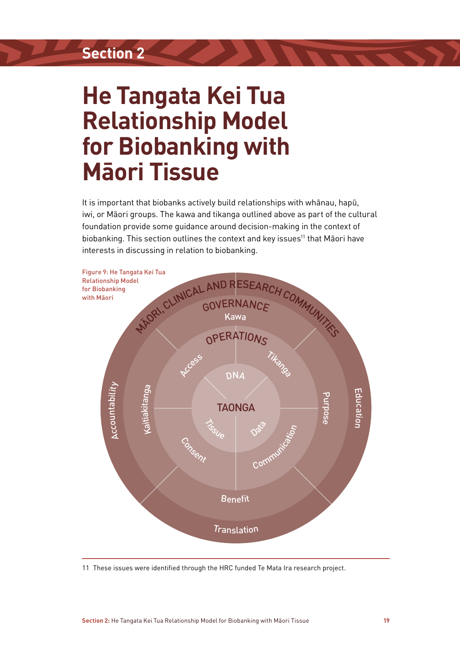# <span id="page-24-0"></span>**Section 2**

# **He Tangata Kei Tua Relationship Model for Biobanking with Māori Tissue**

It is important that biobanks actively build relationships with whānau, hapū, iwi, or Māori groups. The kawa and tikanga outlined above as part of the cultural foundation provide some guidance around decision-making in the context of biobanking. This section outlines the context and key issues<sup>11</sup> that Maori have interests in discussing in relation to biobanking.

<span id="page-24-1"></span>

11 These issues were identified through the HRC funded Te Mata Ira research project.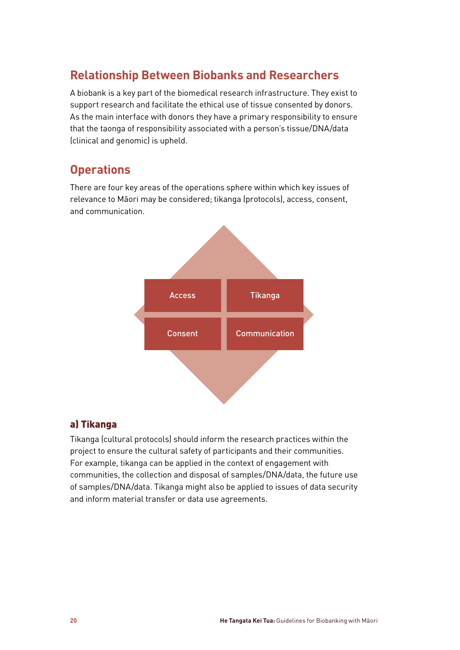# <span id="page-25-0"></span>**Relationship Between Biobanks and Researchers**

A biobank is a key part of the biomedical research infrastructure. They exist to support research and facilitate the ethical use of tissue consented by donors. As the main interface with donors they have a primary responsibility to ensure that the taonga of responsibility associated with a person's tissue/DNA/data (clinical and genomic) is upheld.

## **Operations**

There are four key areas of the operations sphere within which key issues of relevance to Māori may be considered; tikanga (protocols), access, consent, and communication.



### a) Tikanga

Tikanga (cultural protocols) should inform the research practices within the project to ensure the cultural safety of participants and their communities. For example, tikanga can be applied in the context of engagement with communities, the collection and disposal of samples/DNA/data, the future use of samples/DNA/data. Tikanga might also be applied to issues of data security and inform material transfer or data use agreements.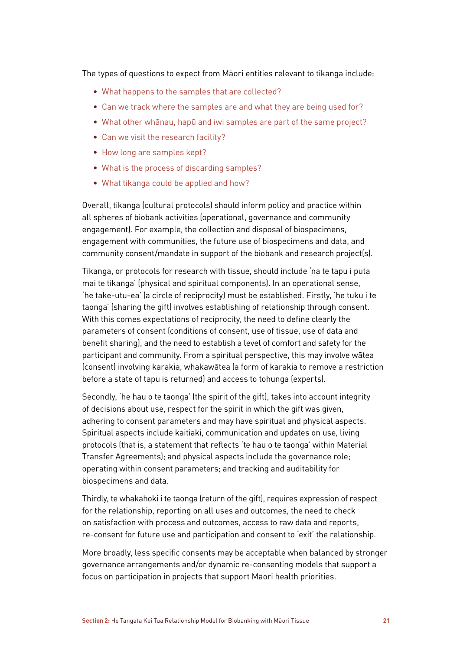The types of questions to expect from Māori entities relevant to tikanga include:

- What happens to the samples that are collected?
- Can we track where the samples are and what they are being used for?
- What other whānau, hapū and iwi samples are part of the same project?
- Can we visit the research facility?
- How long are samples kept?
- What is the process of discarding samples?
- What tikanga could be applied and how?

Overall, tikanga (cultural protocols) should inform policy and practice within all spheres of biobank activities (operational, governance and community engagement). For example, the collection and disposal of biospecimens, engagement with communities, the future use of biospecimens and data, and community consent/mandate in support of the biobank and research project(s).

Tikanga, or protocols for research with tissue, should include 'na te tapu i puta mai te tikanga' (physical and spiritual components). In an operational sense, 'he take-utu-ea' (a circle of reciprocity) must be established. Firstly, 'he tuku i te taonga' (sharing the gift) involves establishing of relationship through consent. With this comes expectations of reciprocity, the need to define clearly the parameters of consent (conditions of consent, use of tissue, use of data and benefit sharing), and the need to establish a level of comfort and safety for the participant and community. From a spiritual perspective, this may involve wātea (consent) involving karakia, whakawātea (a form of karakia to remove a restriction before a state of tapu is returned) and access to tohunga (experts).

Secondly, 'he hau o te taonga' (the spirit of the gift), takes into account integrity of decisions about use, respect for the spirit in which the gift was given, adhering to consent parameters and may have spiritual and physical aspects. Spiritual aspects include kaitiaki, communication and updates on use, living protocols (that is, a statement that reflects 'te hau o te taonga' within Material Transfer Agreements); and physical aspects include the governance role; operating within consent parameters; and tracking and auditability for biospecimens and data.

Thirdly, te whakahoki i te taonga (return of the gift), requires expression of respect for the relationship, reporting on all uses and outcomes, the need to check on satisfaction with process and outcomes, access to raw data and reports, re-consent for future use and participation and consent to 'exit' the relationship.

More broadly, less specific consents may be acceptable when balanced by stronger governance arrangements and/or dynamic re-consenting models that support a focus on participation in projects that support Māori health priorities.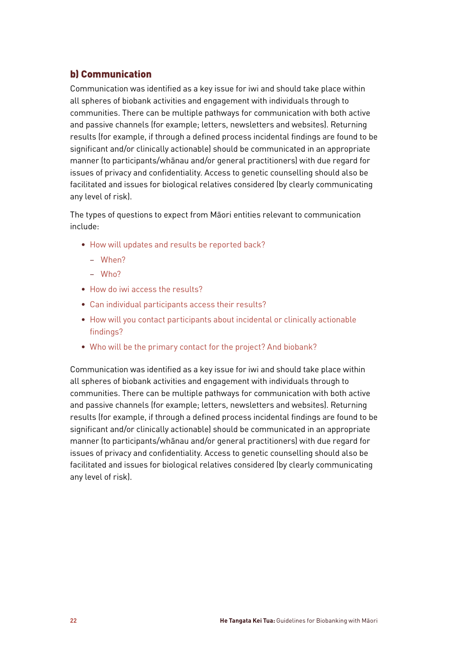### b) Communication

Communication was identified as a key issue for iwi and should take place within all spheres of biobank activities and engagement with individuals through to communities. There can be multiple pathways for communication with both active and passive channels (for example; letters, newsletters and websites). Returning results (for example, if through a defined process incidental findings are found to be significant and/or clinically actionable) should be communicated in an appropriate manner (to participants/whānau and/or general practitioners) with due regard for issues of privacy and confidentiality. Access to genetic counselling should also be facilitated and issues for biological relatives considered (by clearly communicating any level of risk).

The types of questions to expect from Māori entities relevant to communication include:

- How will updates and results be reported back?
	- When?
	- $-Wh<sub>0</sub>$ ?
- How do iwi access the results?
- Can individual participants access their results?
- How will you contact participants about incidental or clinically actionable findings?
- Who will be the primary contact for the project? And biobank?

Communication was identified as a key issue for iwi and should take place within all spheres of biobank activities and engagement with individuals through to communities. There can be multiple pathways for communication with both active and passive channels (for example; letters, newsletters and websites). Returning results (for example, if through a defined process incidental findings are found to be significant and/or clinically actionable) should be communicated in an appropriate manner (to participants/whānau and/or general practitioners) with due regard for issues of privacy and confidentiality. Access to genetic counselling should also be facilitated and issues for biological relatives considered (by clearly communicating any level of risk).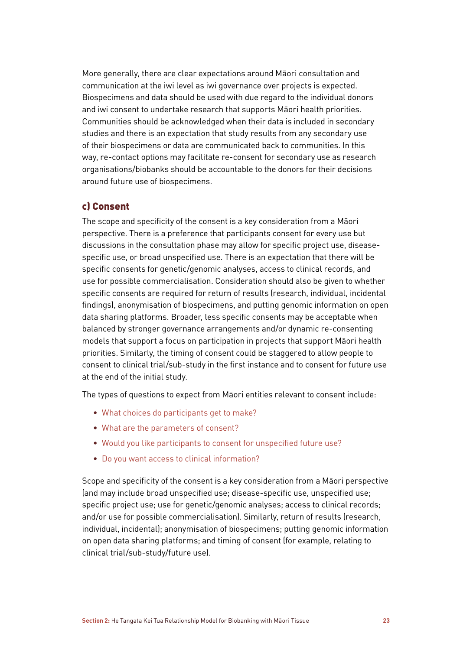More generally, there are clear expectations around Māori consultation and communication at the iwi level as iwi governance over projects is expected. Biospecimens and data should be used with due regard to the individual donors and iwi consent to undertake research that supports Māori health priorities. Communities should be acknowledged when their data is included in secondary studies and there is an expectation that study results from any secondary use of their biospecimens or data are communicated back to communities. In this way, re-contact options may facilitate re-consent for secondary use as research organisations/biobanks should be accountable to the donors for their decisions around future use of biospecimens.

### c) Consent

The scope and specificity of the consent is a key consideration from a Māori perspective. There is a preference that participants consent for every use but discussions in the consultation phase may allow for specific project use, diseasespecific use, or broad unspecified use. There is an expectation that there will be specific consents for genetic/genomic analyses, access to clinical records, and use for possible commercialisation. Consideration should also be given to whether specific consents are required for return of results (research, individual, incidental findings), anonymisation of biospecimens, and putting genomic information on open data sharing platforms. Broader, less specific consents may be acceptable when balanced by stronger governance arrangements and/or dynamic re-consenting models that support a focus on participation in projects that support Māori health priorities. Similarly, the timing of consent could be staggered to allow people to consent to clinical trial/sub-study in the first instance and to consent for future use at the end of the initial study.

The types of questions to expect from Māori entities relevant to consent include:

- What choices do participants get to make?
- What are the parameters of consent?
- Would you like participants to consent for unspecified future use?
- Do you want access to clinical information?

Scope and specificity of the consent is a key consideration from a Māori perspective (and may include broad unspecified use; disease-specific use, unspecified use; specific project use; use for genetic/genomic analyses; access to clinical records; and/or use for possible commercialisation). Similarly, return of results (research, individual, incidental); anonymisation of biospecimens; putting genomic information on open data sharing platforms; and timing of consent (for example, relating to clinical trial/sub-study/future use).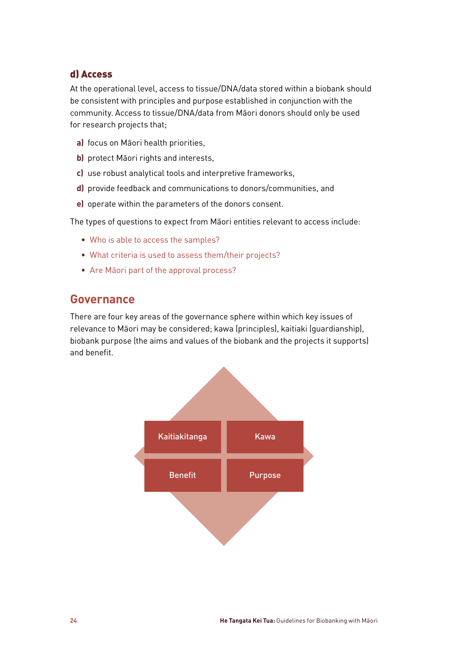### <span id="page-29-0"></span>d) Access

At the operational level, access to tissue/DNA/data stored within a biobank should be consistent with principles and purpose established in conjunction with the community. Access to tissue/DNA/data from Māori donors should only be used for research projects that;

- **a)** focus on Māori health priorities,
- **b)** protect Māori rights and interests,
- **c)** use robust analytical tools and interpretive frameworks,
- **d)** provide feedback and communications to donors/communities, and
- **e)** operate within the parameters of the donors consent.

The types of questions to expect from Māori entities relevant to access include:

- Who is able to access the samples?
- What criteria is used to assess them/their projects?
- Are Māori part of the approval process?

### **Governance**

There are four key areas of the governance sphere within which key issues of relevance to Māori may be considered; kawa (principles), kaitiaki (guardianship), biobank purpose (the aims and values of the biobank and the projects it supports) and benefit.

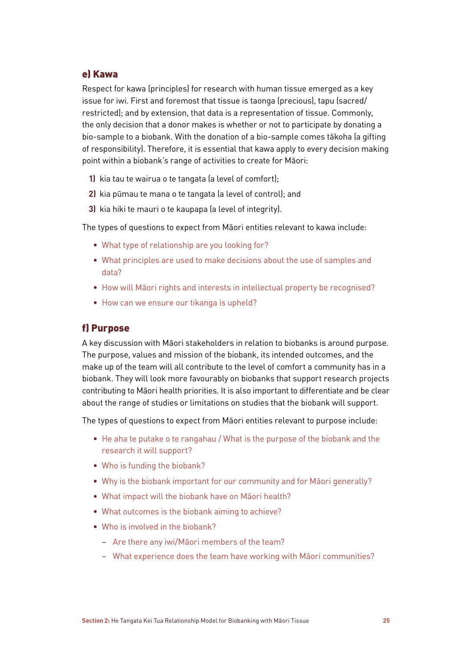### e) Kawa

Respect for kawa (principles) for research with human tissue emerged as a key issue for iwi. First and foremost that tissue is taonga (precious), tapu (sacred/ restricted); and by extension, that data is a representation of tissue. Commonly, the only decision that a donor makes is whether or not to participate by donating a bio-sample to a biobank. With the donation of a bio-sample comes tākoha (a gifting of responsibility). Therefore, it is essential that kawa apply to every decision making point within a biobank's range of activities to create for Māori:

- **1)** kia tau te wairua o te tangata (a level of comfort);
- **2)** kia pūmau te mana o te tangata (a level of control); and
- **3)** kia hiki te mauri o te kaupapa (a level of integrity).

The types of questions to expect from Māori entities relevant to kawa include:

- What type of relationship are you looking for?
- What principles are used to make decisions about the use of samples and data?
- How will Māori rights and interests in intellectual property be recognised?
- How can we ensure our tikanga is upheld?

### f) Purpose

A key discussion with Māori stakeholders in relation to biobanks is around purpose. The purpose, values and mission of the biobank, its intended outcomes, and the make up of the team will all contribute to the level of comfort a community has in a biobank. They will look more favourably on biobanks that support research projects contributing to Māori health priorities. It is also important to differentiate and be clear about the range of studies or limitations on studies that the biobank will support.

The types of questions to expect from Māori entities relevant to purpose include:

- He aha te putake o te rangahau / What is the purpose of the biobank and the research it will support?
- Who is funding the biobank?
- Why is the biobank important for our community and for Māori generally?
- What impact will the biobank have on Māori health?
- What outcomes is the biobank aiming to achieve?
- Who is involved in the biobank?
	- Are there any iwi/Māori members of the team?
	- What experience does the team have working with Māori communities?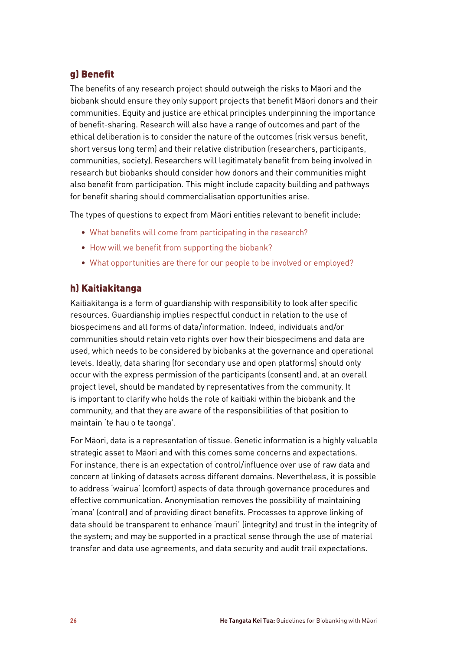### g) Benefit

The benefits of any research project should outweigh the risks to Māori and the biobank should ensure they only support projects that benefit Māori donors and their communities. Equity and justice are ethical principles underpinning the importance of benefit-sharing. Research will also have a range of outcomes and part of the ethical deliberation is to consider the nature of the outcomes (risk versus benefit, short versus long term) and their relative distribution (researchers, participants, communities, society). Researchers will legitimately benefit from being involved in research but biobanks should consider how donors and their communities might also benefit from participation. This might include capacity building and pathways for benefit sharing should commercialisation opportunities arise.

The types of questions to expect from Māori entities relevant to benefit include:

- What benefits will come from participating in the research?
- How will we benefit from supporting the biobank?
- What opportunities are there for our people to be involved or employed?

### h) Kaitiakitanga

Kaitiakitanga is a form of guardianship with responsibility to look after specific resources. Guardianship implies respectful conduct in relation to the use of biospecimens and all forms of data/information. Indeed, individuals and/or communities should retain veto rights over how their biospecimens and data are used, which needs to be considered by biobanks at the governance and operational levels. Ideally, data sharing (for secondary use and open platforms) should only occur with the express permission of the participants (consent) and, at an overall project level, should be mandated by representatives from the community. It is important to clarify who holds the role of kaitiaki within the biobank and the community, and that they are aware of the responsibilities of that position to maintain 'te hau o te taonga'.

For Māori, data is a representation of tissue. Genetic information is a highly valuable strategic asset to Māori and with this comes some concerns and expectations. For instance, there is an expectation of control/influence over use of raw data and concern at linking of datasets across different domains. Nevertheless, it is possible to address 'wairua' (comfort) aspects of data through governance procedures and effective communication. Anonymisation removes the possibility of maintaining 'mana' (control) and of providing direct benefits. Processes to approve linking of data should be transparent to enhance 'mauri' (integrity) and trust in the integrity of the system; and may be supported in a practical sense through the use of material transfer and data use agreements, and data security and audit trail expectations.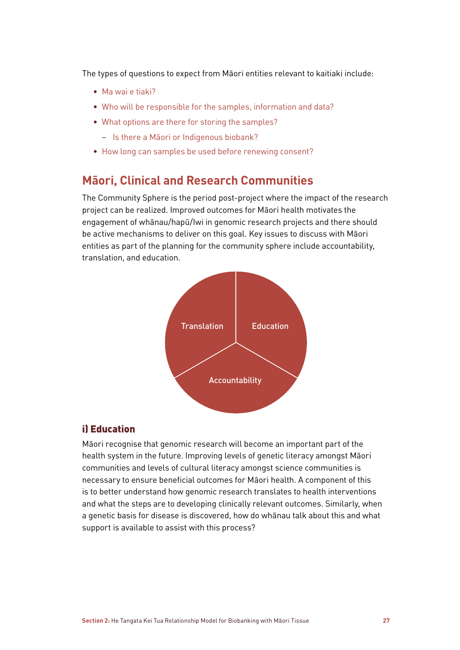<span id="page-32-0"></span>The types of questions to expect from Māori entities relevant to kaitiaki include:

- Ma wai e tiaki?
- Who will be responsible for the samples, information and data?
- What options are there for storing the samples?
	- Is there a Māori or Indigenous biobank?
- How long can samples be used before renewing consent?

### **Māori, Clinical and Research Communities**

The Community Sphere is the period post-project where the impact of the research project can be realized. Improved outcomes for Māori health motivates the engagement of whānau/hapū/Iwi in genomic research projects and there should be active mechanisms to deliver on this goal. Key issues to discuss with Māori entities as part of the planning for the community sphere include accountability, translation, and education.



### i) Education

Māori recognise that genomic research will become an important part of the health system in the future. Improving levels of genetic literacy amongst Māori communities and levels of cultural literacy amongst science communities is necessary to ensure beneficial outcomes for Māori health. A component of this is to better understand how genomic research translates to health interventions and what the steps are to developing clinically relevant outcomes. Similarly, when a genetic basis for disease is discovered, how do whānau talk about this and what support is available to assist with this process?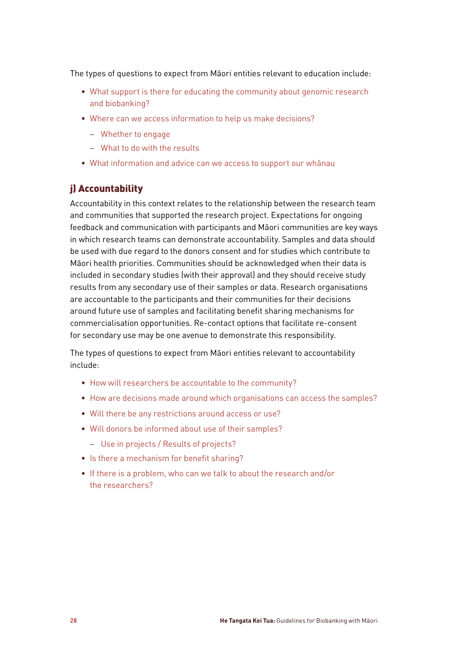The types of questions to expect from Māori entities relevant to education include:

- What support is there for educating the community about genomic research and biobanking?
- Where can we access information to help us make decisions?
	- Whether to engage
	- What to do with the results
- What information and advice can we access to support our whānau

### j) Accountability

Accountability in this context relates to the relationship between the research team and communities that supported the research project. Expectations for ongoing feedback and communication with participants and Māori communities are key ways in which research teams can demonstrate accountability. Samples and data should be used with due regard to the donors consent and for studies which contribute to Māori health priorities. Communities should be acknowledged when their data is included in secondary studies (with their approval) and they should receive study results from any secondary use of their samples or data. Research organisations are accountable to the participants and their communities for their decisions around future use of samples and facilitating benefit sharing mechanisms for commercialisation opportunities. Re-contact options that facilitate re-consent for secondary use may be one avenue to demonstrate this responsibility.

The types of questions to expect from Māori entities relevant to accountability include:

- How will researchers be accountable to the community?
- How are decisions made around which organisations can access the samples?
- Will there be any restrictions around access or use?
- Will donors be informed about use of their samples?
	- Use in projects / Results of projects?
- Is there a mechanism for benefit sharing?
- If there is a problem, who can we talk to about the research and/or the researchers?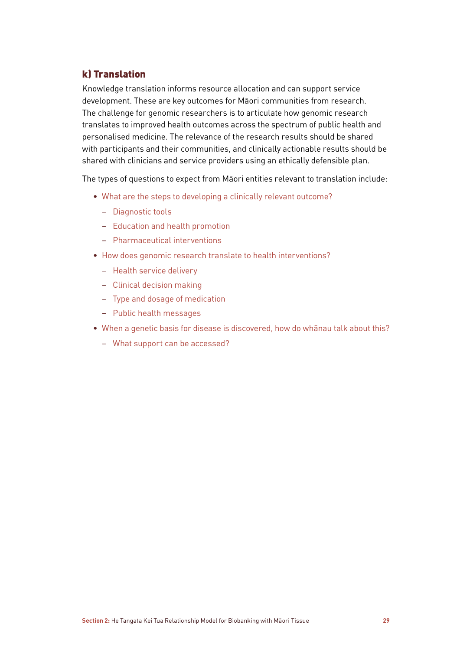### k) Translation

Knowledge translation informs resource allocation and can support service development. These are key outcomes for Māori communities from research. The challenge for genomic researchers is to articulate how genomic research translates to improved health outcomes across the spectrum of public health and personalised medicine. The relevance of the research results should be shared with participants and their communities, and clinically actionable results should be shared with clinicians and service providers using an ethically defensible plan.

The types of questions to expect from Māori entities relevant to translation include:

- What are the steps to developing a clinically relevant outcome?
	- Diagnostic tools
	- Education and health promotion
	- Pharmaceutical interventions
- How does genomic research translate to health interventions?
	- Health service delivery
	- Clinical decision making
	- Type and dosage of medication
	- Public health messages
- When a genetic basis for disease is discovered, how do whānau talk about this?
	- What support can be accessed?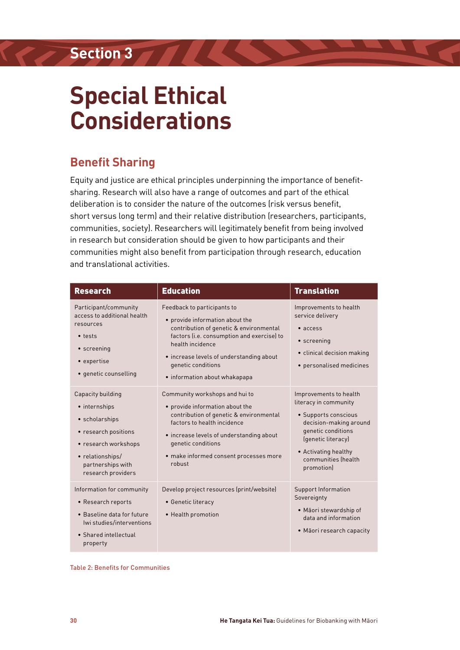# <span id="page-35-0"></span>**Special Ethical Considerations**

# **Benefit Sharing**

Equity and justice are ethical principles underpinning the importance of benefitsharing. Research will also have a range of outcomes and part of the ethical deliberation is to consider the nature of the outcomes (risk versus benefit, short versus long term) and their relative distribution (researchers, participants, communities, society). Researchers will legitimately benefit from being involved in research but consideration should be given to how participants and their communities might also benefit from participation through research, education and translational activities.

| <b>Research</b>                                                                                                                                                     | <b>Education</b>                                                                                                                                                                                                                                                               | <b>Translation</b>                                                                                                                                                                                         |
|---------------------------------------------------------------------------------------------------------------------------------------------------------------------|--------------------------------------------------------------------------------------------------------------------------------------------------------------------------------------------------------------------------------------------------------------------------------|------------------------------------------------------------------------------------------------------------------------------------------------------------------------------------------------------------|
| Participant/community<br>access to additional health<br>resources<br>• tests<br>• screening<br>• expertise<br>· genetic counselling                                 | Feedback to participants to<br>• provide information about the<br>contribution of genetic & environmental<br>factors (i.e. consumption and exercise) to<br>health incidence<br>• increase levels of understanding about<br>genetic conditions<br>• information about whakapapa | Improvements to health<br>service delivery<br>$\bullet$ access<br>• screening<br>· clinical decision making<br>• personalised medicines                                                                    |
| Capacity building<br>• internships<br>• scholarships<br>• research positions<br>• research workshops<br>• relationships/<br>partnerships with<br>research providers | Community workshops and hui to<br>• provide information about the<br>contribution of genetic & environmental<br>factors to health incidence<br>• increase levels of understanding about<br>genetic conditions<br>· make informed consent processes more<br>robust              | Improvements to health<br>literacy in community<br>· Supports conscious<br>decision-making around<br>genetic conditions<br>(genetic literacy)<br>• Activating healthy<br>communities (health<br>promotion) |
| Information for community<br>• Research reports<br>• Baseline data for future<br>Iwi studies/interventions<br>• Shared intellectual<br>property                     | Develop project resources (print/website)<br>• Genetic literacy<br>• Health promotion                                                                                                                                                                                          | <b>Support Information</b><br>Sovereignty<br>• Māori stewardship of<br>data and information<br>• Māori research capacity                                                                                   |

<span id="page-35-1"></span>Table 2: Benefits for Communities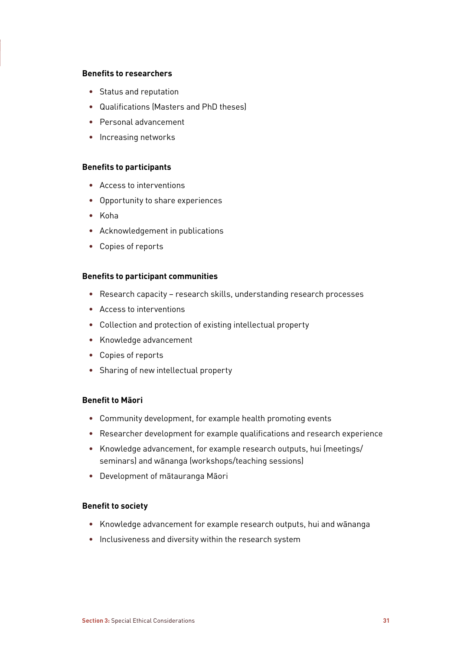#### **Benefits to researchers**

- Status and reputation
- Qualifications (Masters and PhD theses)
- Personal advancement
- Increasing networks

#### **Benefits to participants**

- Access to interventions
- Opportunity to share experiences
- Koha
- Acknowledgement in publications
- Copies of reports

#### **Benefits to participant communities**

- Research capacity research skills, understanding research processes
- Access to interventions
- Collection and protection of existing intellectual property
- Knowledge advancement
- Copies of reports
- Sharing of new intellectual property

#### **Benefit to Māori**

- Community development, for example health promoting events
- Researcher development for example qualifications and research experience
- Knowledge advancement, for example research outputs, hui (meetings/ seminars) and wānanga (workshops/teaching sessions)
- Development of mātauranga Māori

#### **Benefit to society**

- Knowledge advancement for example research outputs, hui and wānanga
- Inclusiveness and diversity within the research system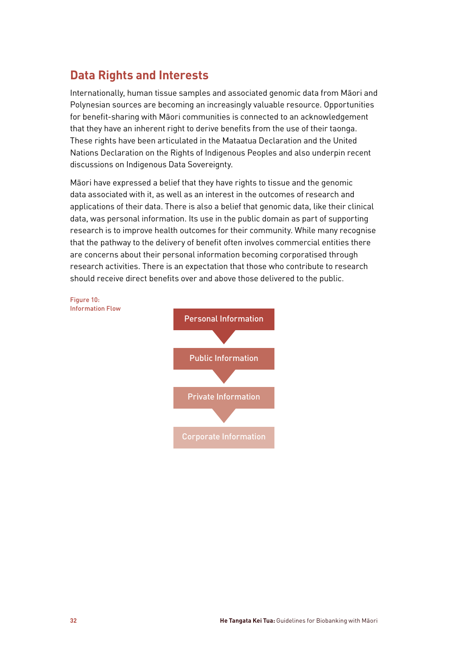# <span id="page-37-0"></span>**Data Rights and Interests**

Internationally, human tissue samples and associated genomic data from Māori and Polynesian sources are becoming an increasingly valuable resource. Opportunities for benefit-sharing with Māori communities is connected to an acknowledgement that they have an inherent right to derive benefits from the use of their taonga. These rights have been articulated in the Mataatua Declaration and the United Nations Declaration on the Rights of Indigenous Peoples and also underpin recent discussions on Indigenous Data Sovereignty.

Māori have expressed a belief that they have rights to tissue and the genomic data associated with it, as well as an interest in the outcomes of research and applications of their data. There is also a belief that genomic data, like their clinical data, was personal information. Its use in the public domain as part of supporting research is to improve health outcomes for their community. While many recognise that the pathway to the delivery of benefit often involves commercial entities there are concerns about their personal information becoming corporatised through research activities. There is an expectation that those who contribute to research should receive direct benefits over and above those delivered to the public.



<span id="page-37-1"></span>Figure 10: Information Flow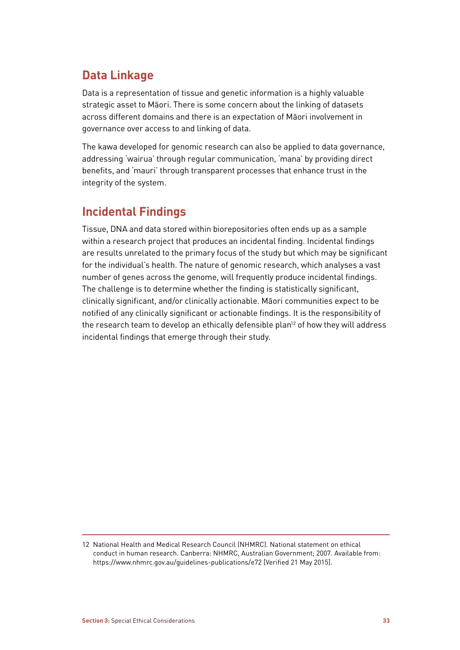# <span id="page-38-0"></span>**Data Linkage**

Data is a representation of tissue and genetic information is a highly valuable strategic asset to Māori. There is some concern about the linking of datasets across different domains and there is an expectation of Māori involvement in governance over access to and linking of data.

The kawa developed for genomic research can also be applied to data governance, addressing 'wairua' through regular communication, 'mana' by providing direct benefits, and 'mauri' through transparent processes that enhance trust in the integrity of the system.

## **Incidental Findings**

Tissue, DNA and data stored within biorepositories often ends up as a sample within a research project that produces an incidental finding. Incidental findings are results unrelated to the primary focus of the study but which may be significant for the individual's health. The nature of genomic research, which analyses a vast number of genes across the genome, will frequently produce incidental findings. The challenge is to determine whether the finding is statistically significant, clinically significant, and/or clinically actionable. Māori communities expect to be notified of any clinically significant or actionable findings. It is the responsibility of the research team to develop an ethically defensible plan<sup>12</sup> of how they will address incidental findings that emerge through their study.

<sup>12</sup> National Health and Medical Research Council (NHMRC). National statement on ethical conduct in human research. Canberra: NHMRC, Australian Government; 2007. Available from: https://www.nhmrc.gov.au/guidelines-publications/e72 [Verified 21 May 2015].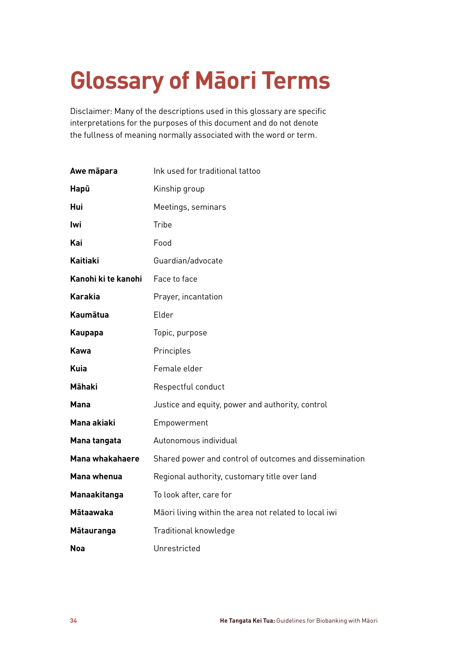# <span id="page-39-0"></span>**Glossary of Māori Terms**

Disclaimer: Many of the descriptions used in this glossary are specific interpretations for the purposes of this document and do not denote the fullness of meaning normally associated with the word or term.

| Awe mapara          | Ink used for traditional tattoo                        |
|---------------------|--------------------------------------------------------|
| Hapū                | Kinship group                                          |
| Hui                 | Meetings, seminars                                     |
| lwi                 | Tribe                                                  |
| Kai                 | Food                                                   |
| Kaitiaki            | Guardian/advocate                                      |
| Kanohi ki te kanohi | Face to face                                           |
| <b>Karakia</b>      | Prayer, incantation                                    |
| <b>Kaumātua</b>     | Elder                                                  |
| <b>Kaupapa</b>      | Topic, purpose                                         |
| <b>Kawa</b>         | Principles                                             |
| <b>Kuia</b>         | Female elder                                           |
| <b>Mähaki</b>       | Respectful conduct                                     |
| <b>Mana</b>         | Justice and equity, power and authority, control       |
| Mana akiaki         | Empowerment                                            |
| Mana tangata        | Autonomous individual                                  |
| Mana whakahaere     | Shared power and control of outcomes and dissemination |
| Mana whenua         | Regional authority, customary title over land          |
| <b>Manaakitanga</b> | To look after, care for                                |
| <b>Mātaawaka</b>    | Māori living within the area not related to local iwi  |
| <b>Mätauranga</b>   | Traditional knowledge                                  |
| Noa                 | Unrestricted                                           |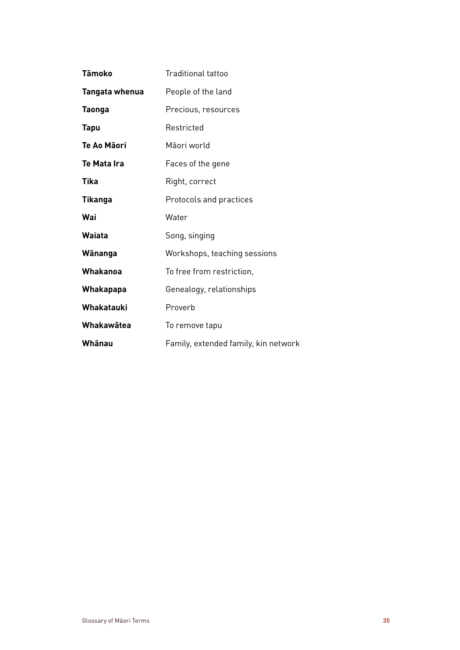| Tāmoko         | <b>Traditional tattoo</b>            |
|----------------|--------------------------------------|
| Tangata whenua | People of the land                   |
| <b>Taonga</b>  | Precious, resources                  |
| <b>Tapu</b>    | Restricted                           |
| Te Ao Māori    | Māori world                          |
| Te Mata Ira    | Faces of the gene                    |
| Tika           | Right, correct                       |
| <b>Tikanga</b> | Protocols and practices              |
| Wai            | Water                                |
| Waiata         | Song, singing                        |
| Wānanga        | Workshops, teaching sessions         |
| Whakanoa       | To free from restriction,            |
| Whakapapa      | Genealogy, relationships             |
| Whakatauki     | Proverb                              |
| Whakawatea     | To remove tapu                       |
| Whānau         | Family, extended family, kin network |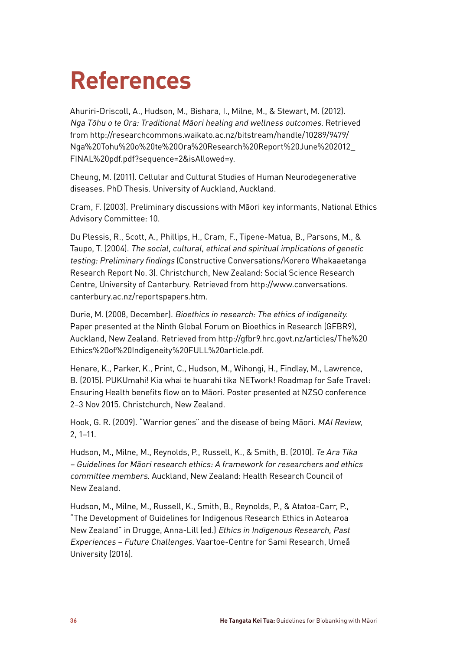# <span id="page-41-0"></span>**References**

Ahuriri-Driscoll, A., Hudson, M., Bishara, I., Milne, M., & Stewart, M. (2012). Nga Tōhu o te Ora: Traditional Māori healing and wellness outcomes. Retrieved from http://researchcommons.waikato.ac.nz/bitstream/handle/10289/9479/ Nga%20Tohu%20o%20te%20Ora%20Research%20Report%20June%202012\_ FINAL%20pdf.pdf?sequence=2&isAllowed=y.

Cheung, M. (2011). Cellular and Cultural Studies of Human Neurodegenerative diseases. PhD Thesis. University of Auckland, Auckland.

Cram, F. (2003). Preliminary discussions with Māori key informants, National Ethics Advisory Committee: 10.

Du Plessis, R., Scott, A., Phillips, H., Cram, F., Tipene-Matua, B., Parsons, M., & Taupo, T. (2004). The social, cultural, ethical and spiritual implications of genetic testing: Preliminary findings (Constructive Conversations/Korero Whakaaetanga Research Report No. 3). Christchurch, New Zealand: Social Science Research Centre, University of Canterbury. Retrieved from http://www.conversations. canterbury.ac.nz/reportspapers.htm.

Durie, M. (2008, December). Bioethics in research: The ethics of indigeneity. Paper presented at the Ninth Global Forum on Bioethics in Research (GFBR9), Auckland, New Zealand. Retrieved from http://gfbr9.hrc.govt.nz/articles/The%20 Ethics%20of%20Indigeneity%20FULL%20article.pdf.

Henare, K., Parker, K., Print, C., Hudson, M., Wihongi, H., Findlay, M., Lawrence, B. (2015). PUKUmahi! Kia whai te huarahi tika NETwork! Roadmap for Safe Travel: Ensuring Health benefits flow on to Māori. Poster presented at NZSO conference 2–3 Nov 2015. Christchurch, New Zealand.

Hook, G. R. (2009). "Warrior genes" and the disease of being Māori. MAI Review, 2, 1–11.

Hudson, M., Milne, M., Reynolds, P., Russell, K., & Smith, B. (2010). Te Ara Tika – Guidelines for Māori research ethics: A framework for researchers and ethics committee members. Auckland, New Zealand: Health Research Council of New Zealand.

Hudson, M., Milne, M., Russell, K., Smith, B., Reynolds, P., & Atatoa-Carr, P., "The Development of Guidelines for Indigenous Research Ethics in Aotearoa New Zealand" in Drugge, Anna-Lill (ed.) Ethics in Indigenous Research, Past Experiences – Future Challenges. Vaartoe-Centre for Sami Research, Umeå University (2016).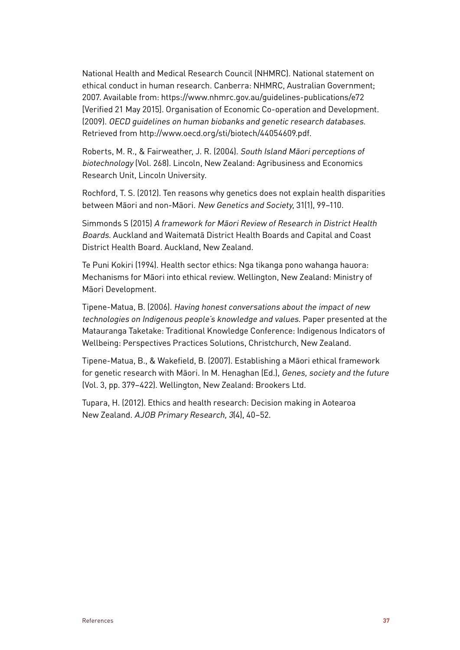National Health and Medical Research Council (NHMRC). National statement on ethical conduct in human research. Canberra: NHMRC, Australian Government; 2007. Available from: https://www.nhmrc.gov.au/guidelines-publications/e72 [Verified 21 May 2015]. Organisation of Economic Co-operation and Development. (2009). OECD guidelines on human biobanks and genetic research databases. Retrieved from http://www.oecd.org/sti/biotech/44054609.pdf.

Roberts, M. R., & Fairweather, J. R. (2004). South Island Māori perceptions of biotechnology (Vol. 268). Lincoln, New Zealand: Agribusiness and Economics Research Unit, Lincoln University.

Rochford, T. S. (2012). Ten reasons why genetics does not explain health disparities between Māori and non-Māori. New Genetics and Society, 31(1), 99–110.

Simmonds S (2015) A framework for Māori Review of Research in District Health Boards. Auckland and Waitematā District Health Boards and Capital and Coast District Health Board. Auckland, New Zealand.

Te Puni Kokiri (1994). Health sector ethics: Nga tikanga pono wahanga hauora: Mechanisms for Māori into ethical review. Wellington, New Zealand: Ministry of Māori Development.

Tipene-Matua, B. (2006). Having honest conversations about the impact of new technologies on Indigenous people's knowledge and values. Paper presented at the Matauranga Taketake: Traditional Knowledge Conference: Indigenous Indicators of Wellbeing: Perspectives Practices Solutions, Christchurch, New Zealand.

Tipene-Matua, B., & Wakefield, B. (2007). Establishing a Māori ethical framework for genetic research with Māori. In M. Henaghan (Ed.), Genes, society and the future (Vol. 3, pp. 379–422). Wellington, New Zealand: Brookers Ltd.

Tupara, H. (2012). Ethics and health research: Decision making in Aotearoa New Zealand. AJOB Primary Research, 3(4), 40–52.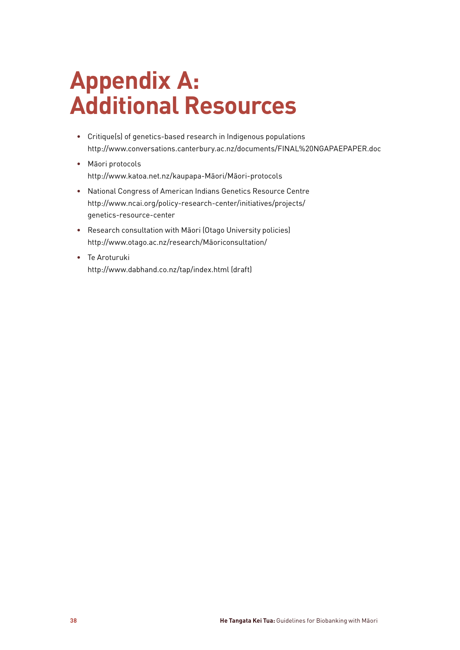# <span id="page-43-0"></span>**Appendix A: Additional Resources**

- Critique(s) of genetics-based research in Indigenous populations http://www.conversations.canterbury.ac.nz/documents/FINAL%20NGAPAEPAPER.doc
- Māori protocols http://www.katoa.net.nz/kaupapa-Māori/Māori-protocols
- National Congress of American Indians Genetics Resource Centre http://www.ncai.org/policy-research-center/initiatives/projects/ genetics-resource-center
- Research consultation with Māori (Otago University policies) http://www.otago.ac.nz/research/Māoriconsultation/
- Te Aroturuki http://www.dabhand.co.nz/tap/index.html (draft)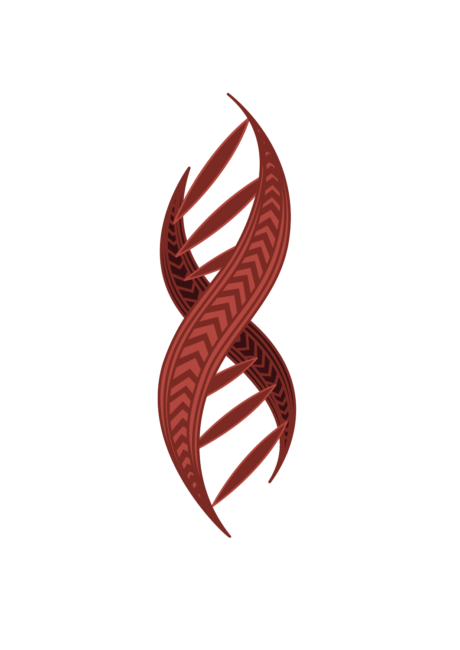